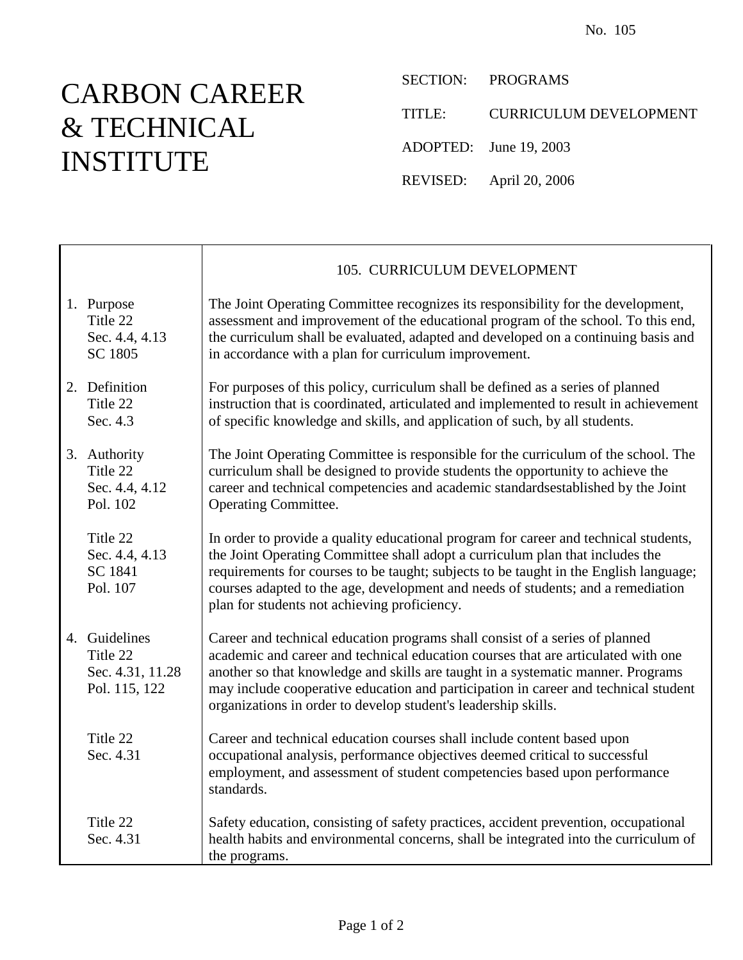## CARBON CAREER & TECHNICAL INSTITUTE

 $\mathbf{I}$ 

Г

SECTION: PROGRAMS

TITLE: CURRICULUM DEVELOPMENT

ADOPTED: June 19, 2003

REVISED: April 20, 2006

|                                                                | 105. CURRICULUM DEVELOPMENT                                                                                                                                                                                                                                                                                                                                                                                    |
|----------------------------------------------------------------|----------------------------------------------------------------------------------------------------------------------------------------------------------------------------------------------------------------------------------------------------------------------------------------------------------------------------------------------------------------------------------------------------------------|
| 1. Purpose<br>Title 22<br>Sec. 4.4, 4.13<br>SC 1805            | The Joint Operating Committee recognizes its responsibility for the development,<br>assessment and improvement of the educational program of the school. To this end,<br>the curriculum shall be evaluated, adapted and developed on a continuing basis and<br>in accordance with a plan for curriculum improvement.                                                                                           |
| 2. Definition<br>Title 22<br>Sec. 4.3                          | For purposes of this policy, curriculum shall be defined as a series of planned<br>instruction that is coordinated, articulated and implemented to result in achievement<br>of specific knowledge and skills, and application of such, by all students.                                                                                                                                                        |
| 3. Authority<br>Title 22<br>Sec. 4.4, 4.12<br>Pol. 102         | The Joint Operating Committee is responsible for the curriculum of the school. The<br>curriculum shall be designed to provide students the opportunity to achieve the<br>career and technical competencies and academic standardsestablished by the Joint<br><b>Operating Committee.</b>                                                                                                                       |
| Title 22<br>Sec. 4.4, 4.13<br>SC 1841<br>Pol. 107              | In order to provide a quality educational program for career and technical students,<br>the Joint Operating Committee shall adopt a curriculum plan that includes the<br>requirements for courses to be taught; subjects to be taught in the English language;<br>courses adapted to the age, development and needs of students; and a remediation<br>plan for students not achieving proficiency.             |
| 4. Guidelines<br>Title 22<br>Sec. 4.31, 11.28<br>Pol. 115, 122 | Career and technical education programs shall consist of a series of planned<br>academic and career and technical education courses that are articulated with one<br>another so that knowledge and skills are taught in a systematic manner. Programs<br>may include cooperative education and participation in career and technical student<br>organizations in order to develop student's leadership skills. |
| Title 22<br>Sec. 4.31                                          | Career and technical education courses shall include content based upon<br>occupational analysis, performance objectives deemed critical to successful<br>employment, and assessment of student competencies based upon performance<br>standards.                                                                                                                                                              |
| Title 22<br>Sec. 4.31                                          | Safety education, consisting of safety practices, accident prevention, occupational<br>health habits and environmental concerns, shall be integrated into the curriculum of<br>the programs.                                                                                                                                                                                                                   |